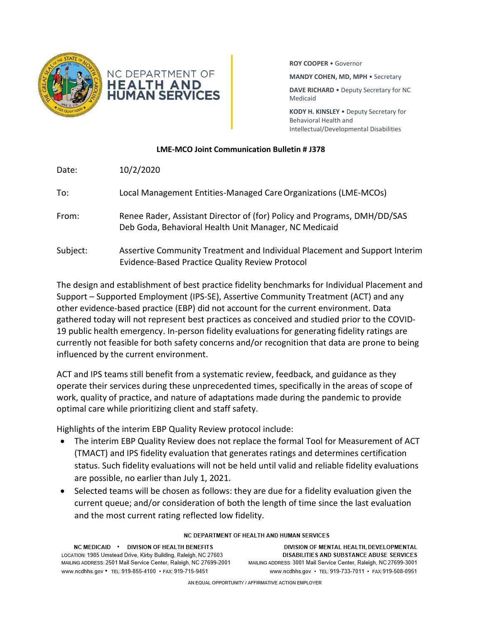



**ROY COOPER** • Governor

**MANDY COHEN, MD, MPH** • Secretary

**DAVE RICHARD** • Deputy Secretary for NC Medicaid

**KODY H. KINSLEY** • Deputy Secretary for Behavioral Health and Intellectual/Developmental Disabilities

# **LME-MCO Joint Communication Bulletin # J378**

| Date:    | 10/2/2020                                                                                                                         |
|----------|-----------------------------------------------------------------------------------------------------------------------------------|
| To:      | Local Management Entities-Managed Care Organizations (LME-MCOs)                                                                   |
| From:    | Renee Rader, Assistant Director of (for) Policy and Programs, DMH/DD/SAS<br>Deb Goda, Behavioral Health Unit Manager, NC Medicaid |
| Subject: | Assertive Community Treatment and Individual Placement and Support Interim<br>Evidence-Based Practice Quality Review Protocol     |

The design and establishment of best practice fidelity benchmarks for Individual Placement and Support – Supported Employment (IPS-SE), Assertive Community Treatment (ACT) and any other evidence-based practice (EBP) did not account for the current environment. Data gathered today will not represent best practices as conceived and studied prior to the COVID-19 public health emergency. In-person fidelity evaluations for generating fidelity ratings are currently not feasible for both safety concerns and/or recognition that data are prone to being influenced by the current environment.

ACT and IPS teams still benefit from a systematic review, feedback, and guidance as they operate their services during these unprecedented times, specifically in the areas of scope of work, quality of practice, and nature of adaptations made during the pandemic to provide optimal care while prioritizing client and staff safety.

Highlights of the interim EBP Quality Review protocol include:

- The interim EBP Quality Review does not replace the formal Tool for Measurement of ACT (TMACT) and IPS fidelity evaluation that generates ratings and determines certification status. Such fidelity evaluations will not be held until valid and reliable fidelity evaluations are possible, no earlier than July 1, 2021.
- Selected teams will be chosen as follows: they are due for a fidelity evaluation given the current queue; and/or consideration of both the length of time since the last evaluation and the most current rating reflected low fidelity.

#### NC MEDICAID . DIVISION OF HEALTH BENEFITS LOCATION: 1985 Umstead Drive, Kirby Building, Raleigh, NC 27603 MAILING ADDRESS: 2501 Mail Service Center, Raleigh, NC 27699-2001 www.ncdhhs.gov • TEL: 919-855-4100 • FAX: 919-715-9451

### NC DEPARTMENT OF HEALTH AND HUMAN SERVICES

DIVISION OF MENTAL HEALTH, DEVELOPMENTAL DISABILITIES AND SUBSTANCE ABUSE SERVICES MAILING ADDRESS: 3001 Mail Service Center, Raleigh, NC 27699-3001 www.ncdhhs.gov • TEL: 919-733-7011 • FAX: 919-508-0951

AN EQUAL OPPORTUNITY / AFFIRMATIVE ACTION EMPLOYER